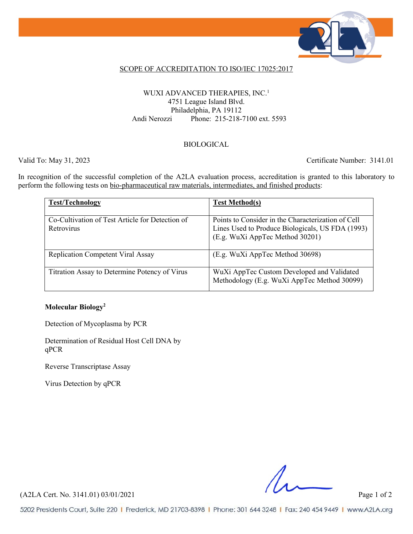

#### SCOPE OF ACCREDITATION TO ISO/IEC 17025:2017

#### WUXI ADVANCED THERAPIES, INC.<sup>1</sup> 4751 League Island Blvd. Philadelphia, PA 19112 Andi Nerozzi Phone: 215-218-7100 ext. 5593

#### BIOLOGICAL

Valid To: May 31, 2023 Certificate Number: 3141.01

In recognition of the successful completion of the A2LA evaluation process, accreditation is granted to this laboratory to perform the following tests on bio-pharmaceutical raw materials, intermediates, and finished products:

| <b>Test/Technology</b>                                        | <b>Test Method(s)</b>                                                                                                                     |
|---------------------------------------------------------------|-------------------------------------------------------------------------------------------------------------------------------------------|
| Co-Cultivation of Test Article for Detection of<br>Retrovirus | Points to Consider in the Characterization of Cell<br>Lines Used to Produce Biologicals, US FDA (1993)<br>(E.g. WuXi AppTec Method 30201) |
| <b>Replication Competent Viral Assay</b>                      | (E.g. WuXi AppTec Method 30698)                                                                                                           |
| Titration Assay to Determine Potency of Virus                 | WuXi AppTec Custom Developed and Validated<br>Methodology (E.g. WuXi AppTec Method 30099)                                                 |

#### **Molecular Biology2**

Detection of Mycoplasma by PCR

Determination of Residual Host Cell DNA by qPCR

Reverse Transcriptase Assay

Virus Detection by qPCR

(A2LA Cert. No. 3141.01) 03/01/2021 Page 1 of 2

5202 Presidents Court, Suite 220 | Frederick, MD 21703-8398 | Phone: 301 644 3248 | Fax: 240 454 9449 | www.A2LA.org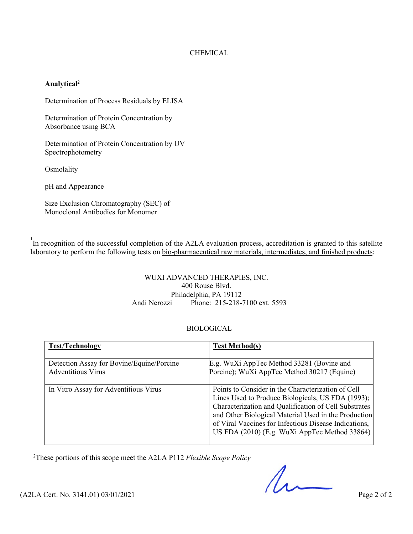#### CHEMICAL

#### **Analytical2**

Determination of Process Residuals by ELISA

Determination of Protein Concentration by Absorbance using BCA

Determination of Protein Concentration by UV Spectrophotometry

Osmolality

pH and Appearance

Size Exclusion Chromatography (SEC) of Monoclonal Antibodies for Monomer

<sup>1</sup>In recognition of the successful completion of the A2LA evaluation process, accreditation is granted to this satellite laboratory to perform the following tests on bio-pharmaceutical raw materials, intermediates, and finished products:

#### WUXI ADVANCED THERAPIES, INC. 400 Rouse Blvd. Philadelphia, PA 19112 Andi Nerozzi Phone: 215-218-7100 ext. 5593

#### BIOLOGICAL

| <b>Test/Technology</b>                                                 | <b>Test Method(s)</b>                                                                                                                                                                                                                                                                                                              |
|------------------------------------------------------------------------|------------------------------------------------------------------------------------------------------------------------------------------------------------------------------------------------------------------------------------------------------------------------------------------------------------------------------------|
| Detection Assay for Bovine/Equine/Porcine<br><b>Adventitious Virus</b> | E.g. WuXi AppTec Method 33281 (Bovine and<br>Porcine); WuXi AppTec Method 30217 (Equine)                                                                                                                                                                                                                                           |
| In Vitro Assay for Adventitious Virus                                  | Points to Consider in the Characterization of Cell<br>Lines Used to Produce Biologicals, US FDA (1993);<br>Characterization and Qualification of Cell Substrates<br>and Other Biological Material Used in the Production<br>of Viral Vaccines for Infectious Disease Indications,<br>US FDA (2010) (E.g. WuXi AppTec Method 33864) |

2 These portions of this scope meet the A2LA P112 *Flexible Scope Policy*

 $(42LA$  Cert. No. 3141.01) 03/01/2021 Page 2 of 2